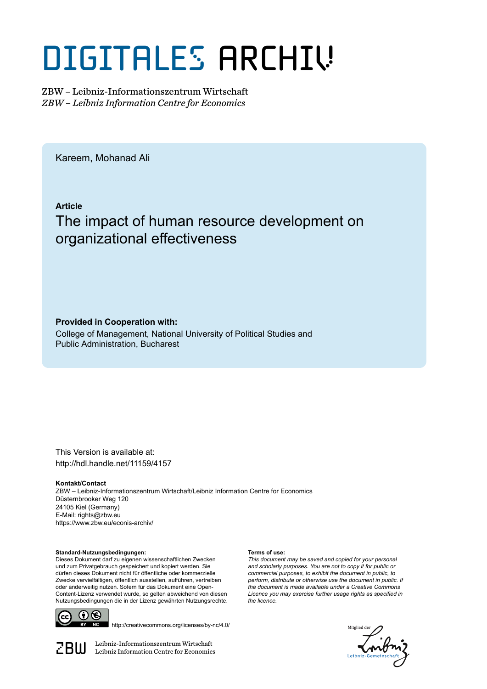# DIGITALES ARCHIV

ZBW – Leibniz-Informationszentrum Wirtschaft *ZBW – Leibniz Information Centre for Economics*

Kareem, Mohanad Ali

**Article**

# The impact of human resource development on organizational effectiveness

**Provided in Cooperation with:**

College of Management, National University of Political Studies and Public Administration, Bucharest

This Version is available at: http://hdl.handle.net/11159/4157

**Kontakt/Contact**

ZBW – Leibniz-Informationszentrum Wirtschaft/Leibniz Information Centre for Economics Düsternbrooker Weg 120 24105 Kiel (Germany) E-Mail: rights@zbw.eu https://www.zbw.eu/econis-archiv/

**Standard-Nutzungsbedingungen:**

Dieses Dokument darf zu eigenen wissenschaftlichen Zwecken und zum Privatgebrauch gespeichert und kopiert werden. Sie dürfen dieses Dokument nicht für öffentliche oder kommerzielle Zwecke vervielfältigen, öffentlich ausstellen, aufführen, vertreiben oder anderweitig nutzen. Sofern für das Dokument eine Open-Content-Lizenz verwendet wurde, so gelten abweichend von diesen Nutzungsbedingungen die in der Lizenz gewährten Nutzungsrechte.



http://creativecommons.org/licenses/by-nc/4.0/

 $\mathbb{Z} \text{B} \text{U}$  Leibniz-Informationszentrum Wirtschaft

#### **Terms of use:**

*This document may be saved and copied for your personal and scholarly purposes. You are not to copy it for public or commercial purposes, to exhibit the document in public, to perform, distribute or otherwise use the document in public. If the document is made available under a Creative Commons Licence you may exercise further usage rights as specified in the licence.*

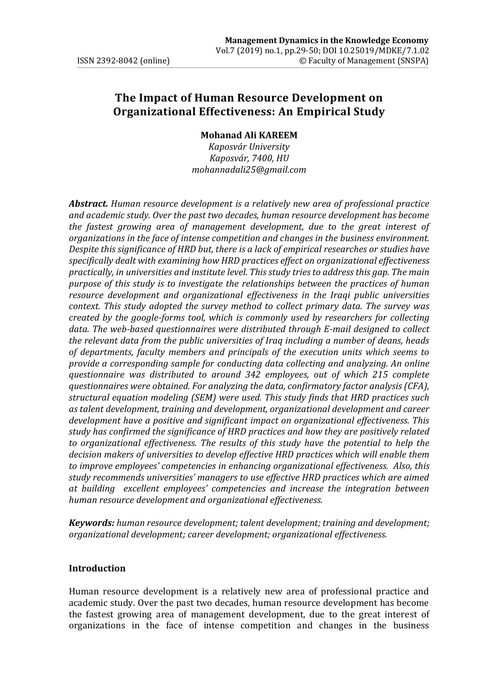# **The Impact of Human Resource Development on Organizational Effectiveness: An Empirical Study**

#### **Mohanad Ali KAREEM**

*Kaposvár University Kaposvár, 7400, HU mohannadali25@gmail.com*

*Abstract. Human resource development is a relatively new area of professional practice and academic study. Over the past two decades, human resource development has become the fastest growing area of management development, due to the great interest of organizations in the face of intense competition and changes in the business environment. Despite this significance of HRD but, there is a lack of empirical researches or studies have specifically dealt with examining how HRD practices effect on organizational effectiveness practically, in universities and institute level. This study tries to address this gap. The main purpose of this study is to investigate the relationships between the practices of human resource development and organizational effectiveness in the Iraqi public universities context. This study adopted the survey method to collect primary data. The survey was created by the google-forms tool, which is commonly used by researchers for collecting data. The web-based questionnaires were distributed through E-mail designed to collect the relevant data from the public universities of Iraq including a number of deans, heads of departments, faculty members and principals of the execution units which seems to provide a corresponding sample for conducting data collecting and analyzing. An online questionnaire was distributed to around 342 employees, out of which 215 complete questionnaires were obtained. For analyzing the data, confirmatory factor analysis (CFA), structural equation modeling (SEM) were used. This study finds that HRD practices such as talent development, training and development, organizational development and career development have a positive and significant impact on organizational effectiveness. This study has confirmed the significance of HRD practices and how they are positively related to organizational effectiveness. The results of this study have the potential to help the decision makers of universities to develop effective HRD practices which will enable them to improve employees' competencies in enhancing organizational effectiveness. Also, this study recommends universities' managers to use effective HRD practices which are aimed at building excellent employees' competencies and increase the integration between human resource development and organizational effectiveness.* 

*Keywords: human resource development; talent development; training and development; organizational development; career development; organizational effectiveness.* 

#### **Introduction**

Human resource development is a relatively new area of professional practice and academic study. Over the past two decades, human resource development has become the fastest growing area of management development, due to the great interest of organizations in the face of intense competition and changes in the business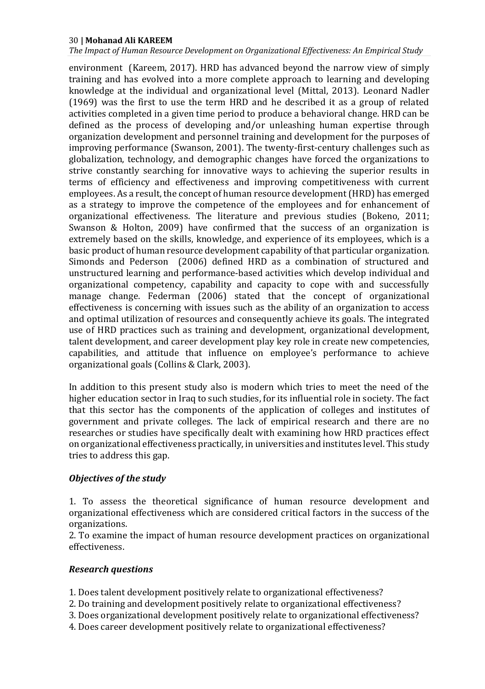*The Impact of Human Resource Development on Organizational Effectiveness: An Empirical Study*

environment (Kareem, 2017). HRD has advanced beyond the narrow view of simply training and has evolved into a more complete approach to learning and developing knowledge at the individual and organizational level (Mittal, 2013). Leonard Nadler (1969) was the first to use the term HRD and he described it as a group of related activities completed in a given time period to produce a behavioral change. HRD can be defined as the process of developing and/or unleashing human expertise through organization development and personnel training and development for the purposes of improving performance (Swanson, 2001). The twenty-first-century challenges such as globalization, technology, and demographic changes have forced the organizations to strive constantly searching for innovative ways to achieving the superior results in terms of efficiency and effectiveness and improving competitiveness with current employees. As a result, the concept of human resource development (HRD) has emerged as a strategy to improve the competence of the employees and for enhancement of organizational effectiveness. The literature and previous studies (Bokeno, 2011; Swanson & Holton, 2009) have confirmed that the success of an organization is extremely based on the skills, knowledge, and experience of its employees, which is a basic product of human resource development capability of that particular organization. Simonds and Pederson (2006) defined HRD as a combination of structured and unstructured learning and performance-based activities which develop individual and organizational competency, capability and capacity to cope with and successfully manage change. Federman (2006) stated that the concept of organizational effectiveness is concerning with issues such as the ability of an organization to access and optimal utilization of resources and consequently achieve its goals. The integrated use of HRD practices such as training and development, organizational development, talent development, and career development play key role in create new competencies, capabilities, and attitude that influence on employee's performance to achieve organizational goals (Collins & Clark, 2003).

In addition to this present study also is modern which tries to meet the need of the higher education sector in Iraq to such studies, for its influential role in society. The fact that this sector has the components of the application of colleges and institutes of government and private colleges. The lack of empirical research and there are no researches or studies have specifically dealt with examining how HRD practices effect on organizational effectiveness practically, in universities and institutes level. This study tries to address this gap.

# *Objectives of the study*

1. To assess the theoretical significance of human resource development and organizational effectiveness which are considered critical factors in the success of the organizations.

2. To examine the impact of human resource development practices on organizational effectiveness.

#### *Research questions*

1. Does talent development positively relate to organizational effectiveness?

2. Do training and development positively relate to organizational effectiveness?

3. Does organizational development positively relate to organizational effectiveness?

4. Does career development positively relate to organizational effectiveness?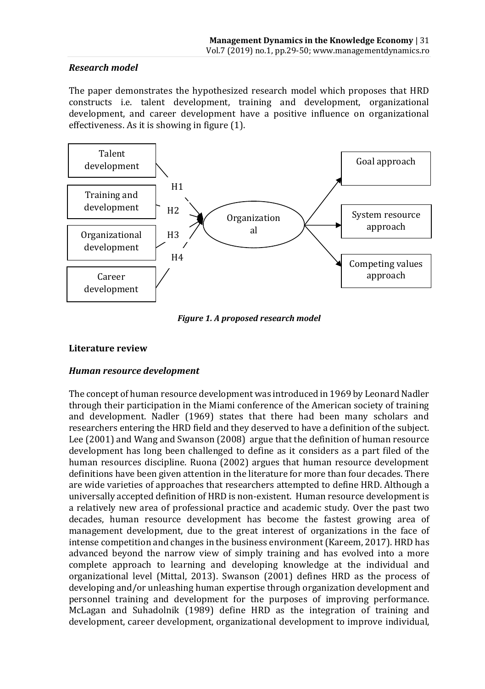# *Research model*

The paper demonstrates the hypothesized research model which proposes that HRD constructs i.e. talent development, training and development, organizational development, and career development have a positive influence on organizational effectiveness. As it is showing in figure (1).



*Figure 1. A proposed research model*

# **Literature review**

# *Human resource development*

The concept of human resource development was introduced in 1969 by Leonard Nadler through their participation in the Miami conference of the American society of training and development. Nadler (1969) states that there had been many scholars and researchers entering the HRD field and they deserved to have a definition of the subject. Lee (2001) and Wang and Swanson (2008) argue that the definition of human resource development has long been challenged to define as it considers as a part filed of the human resources discipline. Ruona (2002) argues that human resource development definitions have been given attention in the literature for more than four decades. There are wide varieties of approaches that researchers attempted to define HRD. Although a universally accepted definition of HRD is non-existent. Human resource development is a relatively new area of professional practice and academic study. Over the past two decades, human resource development has become the fastest growing area of management development, due to the great interest of organizations in the face of intense competition and changes in the business environment (Kareem, 2017). HRD has advanced beyond the narrow view of simply training and has evolved into a more complete approach to learning and developing knowledge at the individual and organizational level (Mittal, 2013). Swanson (2001) defines HRD as the process of developing and/or unleashing human expertise through organization development and personnel training and development for the purposes of improving performance. McLagan and Suhadolnik (1989) define HRD as the integration of training and development, career development, organizational development to improve individual,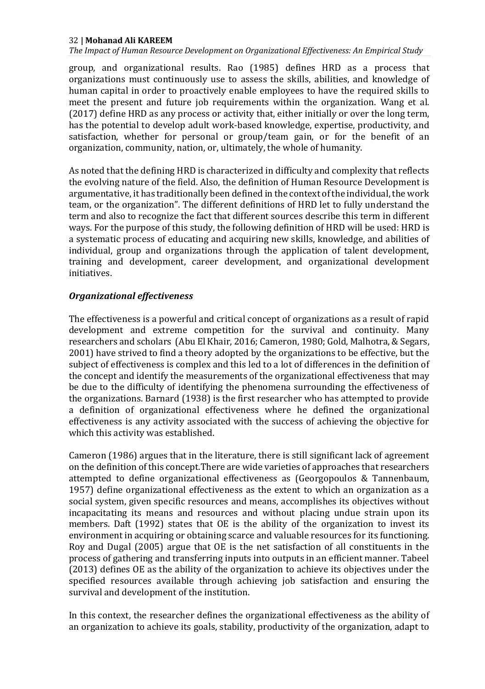*The Impact of Human Resource Development on Organizational Effectiveness: An Empirical Study*

group, and organizational results. Rao (1985) defines HRD as a process that organizations must continuously use to assess the skills, abilities, and knowledge of human capital in order to proactively enable employees to have the required skills to meet the present and future job requirements within the organization. Wang et al. (2017) define HRD as any process or activity that, either initially or over the long term, has the potential to develop adult work-based knowledge, expertise, productivity, and satisfaction, whether for personal or group/team gain, or for the benefit of an organization, community, nation, or, ultimately, the whole of humanity.

As noted that the defining HRD is characterized in difficulty and complexity that reflects the evolving nature of the field. Also, the definition of Human Resource Development is argumentative, it has traditionally been defined in the context of the individual, the work team, or the organization". The different definitions of HRD let to fully understand the term and also to recognize the fact that different sources describe this term in different ways. For the purpose of this study, the following definition of HRD will be used: HRD is a systematic process of educating and acquiring new skills, knowledge, and abilities of individual, group and organizations through the application of talent development, training and development, career development, and organizational development initiatives.

# *Organizational effectiveness*

The effectiveness is a powerful and critical concept of organizations as a result of rapid development and extreme competition for the survival and continuity. Many researchers and scholars (Abu El Khair, 2016; Cameron, 1980; Gold, Malhotra, & Segars, 2001) have strived to find a theory adopted by the organizations to be effective, but the subject of effectiveness is complex and this led to a lot of differences in the definition of the concept and identify the measurements of the organizational effectiveness that may be due to the difficulty of identifying the phenomena surrounding the effectiveness of the organizations. Barnard (1938) is the first researcher who has attempted to provide a definition of organizational effectiveness where he defined the organizational effectiveness is any activity associated with the success of achieving the objective for which this activity was established.

Cameron (1986) argues that in the literature, there is still significant lack of agreement on the definition of this concept.There are wide varieties of approaches that researchers attempted to define organizational effectiveness as (Georgopoulos & Tannenbaum, 1957) define organizational effectiveness as the extent to which an organization as a social system, given specific resources and means, accomplishes its objectives without incapacitating its means and resources and without placing undue strain upon its members. Daft (1992) states that OE is the ability of the organization to invest its environment in acquiring or obtaining scarce and valuable resources for its functioning. Roy and Dugal (2005) argue that OE is the net satisfaction of all constituents in the process of gathering and transferring inputs into outputs in an efficient manner. Tabeel (2013) defines OE as the ability of the organization to achieve its objectives under the specified resources available through achieving job satisfaction and ensuring the survival and development of the institution.

In this context, the researcher defines the organizational effectiveness as the ability of an organization to achieve its goals, stability, productivity of the organization, adapt to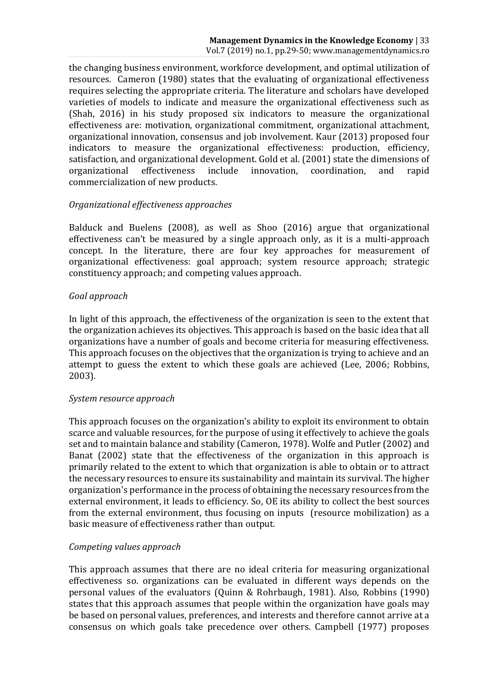the changing business environment, workforce development, and optimal utilization of resources. Cameron (1980) states that the evaluating of organizational effectiveness requires selecting the appropriate criteria. The literature and scholars have developed varieties of models to indicate and measure the organizational effectiveness such as (Shah, 2016) in his study proposed six indicators to measure the organizational effectiveness are: motivation, organizational commitment, organizational attachment, organizational innovation, consensus and job involvement. Kaur (2013) proposed four indicators to measure the organizational effectiveness: production, efficiency, satisfaction, and organizational development. Gold et al. (2001) state the dimensions of organizational effectiveness include innovation, coordination, and rapid commercialization of new products.

#### *Organizational effectiveness approaches*

Balduck and Buelens (2008), as well as Shoo (2016) argue that organizational effectiveness can't be measured by a single approach only, as it is a multi-approach concept. In the literature, there are four key approaches for measurement of organizational effectiveness: goal approach; system resource approach; strategic constituency approach; and competing values approach.

#### *Goal approach*

In light of this approach, the effectiveness of the organization is seen to the extent that the organization achieves its objectives. This approach is based on the basic idea that all organizations have a number of goals and become criteria for measuring effectiveness. This approach focuses on the objectives that the organization is trying to achieve and an attempt to guess the extent to which these goals are achieved (Lee, 2006; Robbins, 2003).

#### *System resource approach*

This approach focuses on the organization's ability to exploit its environment to obtain scarce and valuable resources, for the purpose of using it effectively to achieve the goals set and to maintain balance and stability (Cameron, 1978). Wolfe and Putler (2002) and Banat (2002) state that the effectiveness of the organization in this approach is primarily related to the extent to which that organization is able to obtain or to attract the necessary resources to ensure its sustainability and maintain its survival. The higher organization's performance in the process of obtaining the necessary resources from the external environment, it leads to efficiency. So, OE its ability to collect the best sources from the external environment, thus focusing on inputs (resource mobilization) as a basic measure of effectiveness rather than output.

#### *Competing values approach*

This approach assumes that there are no ideal criteria for measuring organizational effectiveness so. organizations can be evaluated in different ways depends on the personal values of the evaluators (Quinn & Rohrbaugh, 1981). Also, Robbins (1990) states that this approach assumes that people within the organization have goals may be based on personal values, preferences, and interests and therefore cannot arrive at a consensus on which goals take precedence over others. Campbell (1977) proposes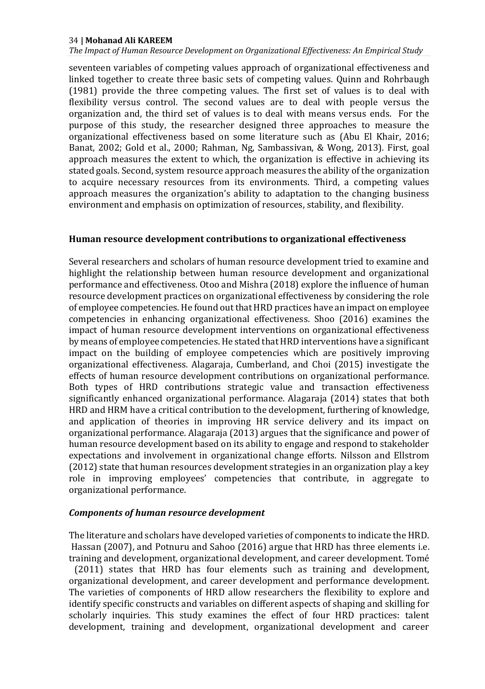*The Impact of Human Resource Development on Organizational Effectiveness: An Empirical Study*

seventeen variables of competing values approach of organizational effectiveness and linked together to create three basic sets of competing values. Quinn and Rohrbaugh (1981) provide the three competing values. The first set of values is to deal with flexibility versus control. The second values are to deal with people versus the organization and, the third set of values is to deal with means versus ends. For the purpose of this study, the researcher designed three approaches to measure the organizational effectiveness based on some literature such as (Abu El Khair, 2016; Banat, 2002; Gold et al., 2000; Rahman, Ng, Sambassivan, & Wong, 2013). First, goal approach measures the extent to which, the organization is effective in achieving its stated goals. Second, system resource approach measures the ability of the organization to acquire necessary resources from its environments. Third, a competing values approach measures the organization's ability to adaptation to the changing business environment and emphasis on optimization of resources, stability, and flexibility.

#### **Human resource development contributions to organizational effectiveness**

Several researchers and scholars of human resource development tried to examine and highlight the relationship between human resource development and organizational performance and effectiveness. Otoo and Mishra (2018) explore the influence of human resource development practices on organizational effectiveness by considering the role of employee competencies. He found out that HRD practices have an impact on employee competencies in enhancing organizational effectiveness. Shoo (2016) examines the impact of human resource development interventions on organizational effectiveness by means of employee competencies. He stated that HRD interventions have a significant impact on the building of employee competencies which are positively improving organizational effectiveness. Alagaraja, Cumberland, and Choi (2015) investigate the effects of human resource development contributions on organizational performance. Both types of HRD contributions strategic value and transaction effectiveness significantly enhanced organizational performance. Alagaraja (2014) states that both HRD and HRM have a critical contribution to the development, furthering of knowledge, and application of theories in improving HR service delivery and its impact on organizational performance. Alagaraja (2013) argues that the significance and power of human resource development based on its ability to engage and respond to stakeholder expectations and involvement in organizational change efforts. Nilsson and Ellstrom (2012) state that human resources development strategies in an organization play a key role in improving employees' competencies that contribute, in aggregate to organizational performance.

#### *Components of human resource development*

The literature and scholars have developed varieties of components to indicate the HRD. Hassan (2007), and Potnuru and Sahoo (2016) argue that HRD has three elements i.e. training and development, organizational development, and career development. Tomé

(2011) states that HRD has four elements such as training and development, organizational development, and career development and performance development. The varieties of components of HRD allow researchers the flexibility to explore and identify specific constructs and variables on different aspects of shaping and skilling for scholarly inquiries. This study examines the effect of four HRD practices: talent development, training and development, organizational development and career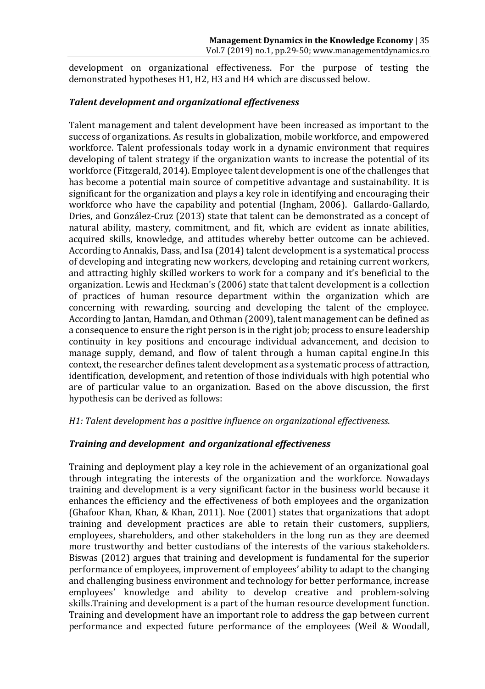development on organizational effectiveness. For the purpose of testing the demonstrated hypotheses H1, H2, H3 and H4 which are discussed below.

# *Talent development and organizational effectiveness*

Talent management and talent development have been increased as important to the success of organizations. As results in globalization, mobile workforce, and empowered workforce. Talent professionals today work in a dynamic environment that requires developing of talent strategy if the organization wants to increase the potential of its workforce (Fitzgerald, 2014). Employee talent development is one of the challenges that has become a potential main source of competitive advantage and sustainability. It is significant for the organization and plays a key role in identifying and encouraging their workforce who have the capability and potential (Ingham, 2006). Gallardo-Gallardo, Dries, and González-Cruz (2013) state that talent can be demonstrated as a concept of natural ability, mastery, commitment, and fit, which are evident as innate abilities, acquired skills, knowledge, and attitudes whereby better outcome can be achieved. According to Annakis, Dass, and Isa (2014) talent development is a systematical process of developing and integrating new workers, developing and retaining current workers, and attracting highly skilled workers to work for a company and it's beneficial to the organization. Lewis and Heckman's (2006) state that talent development is a collection of practices of human resource department within the organization which are concerning with rewarding, sourcing and developing the talent of the employee. According to Jantan, Hamdan, and Othman (2009), talent management can be defined as a consequence to ensure the right person is in the right job; process to ensure leadership continuity in key positions and encourage individual advancement, and decision to manage supply, demand, and flow of talent through a human capital engine.In this context, the researcher defines talent development as a systematic process of attraction, identification, development, and retention of those individuals with high potential who are of particular value to an organization. Based on the above discussion, the first hypothesis can be derived as follows:

# *H1: Talent development has a positive influence on organizational effectiveness.*

#### *Training and development and organizational effectiveness*

Training and deployment play a key role in the achievement of an organizational goal through integrating the interests of the organization and the workforce. Nowadays training and development is a very significant factor in the business world because it enhances the efficiency and the effectiveness of both employees and the organization (Ghafoor Khan, Khan, & Khan, 2011). Noe (2001) states that organizations that adopt training and development practices are able to retain their customers, suppliers, employees, shareholders, and other stakeholders in the long run as they are deemed more trustworthy and better custodians of the interests of the various stakeholders. Biswas (2012) argues that training and development is fundamental for the superior performance of employees, improvement of employees' ability to adapt to the changing and challenging business environment and technology for better performance, increase employees' knowledge and ability to develop creative and problem-solving skills.Training and development is a part of the human resource development function. Training and development have an important role to address the gap between current performance and expected future performance of the employees (Weil & Woodall,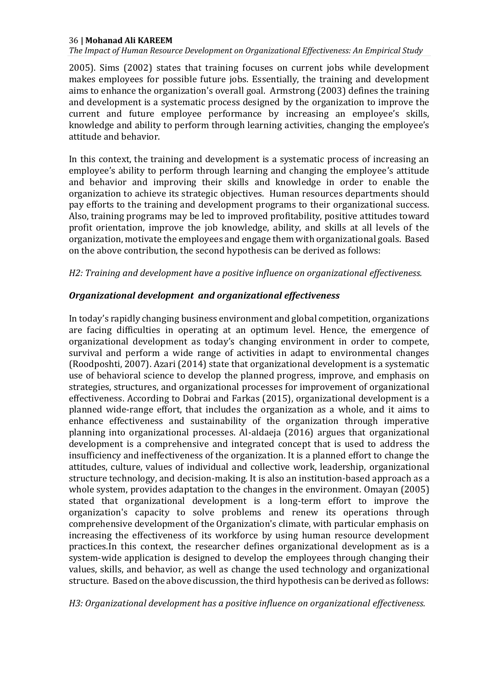*The Impact of Human Resource Development on Organizational Effectiveness: An Empirical Study*

2005). Sims (2002) states that training focuses on current jobs while development makes employees for possible future jobs. Essentially, the training and development aims to enhance the organization's overall goal. Armstrong (2003) defines the training and development is a systematic process designed by the organization to improve the current and future employee performance by increasing an employee's skills, knowledge and ability to perform through learning activities, changing the employee's attitude and behavior.

In this context, the training and development is a systematic process of increasing an employee's ability to perform through learning and changing the employee's attitude and behavior and improving their skills and knowledge in order to enable the organization to achieve its strategic objectives. Human resources departments should pay efforts to the training and development programs to their organizational success. Also, training programs may be led to improved profitability, positive attitudes toward profit orientation, improve the job knowledge, ability, and skills at all levels of the organization, motivate the employees and engage them with organizational goals. Based on the above contribution, the second hypothesis can be derived as follows:

#### *H2: Training and development have a positive influence on organizational effectiveness.*

# *Organizational development and organizational effectiveness*

In today's rapidly changing business environment and global competition, organizations are facing difficulties in operating at an optimum level. Hence, the emergence of organizational development as today's changing environment in order to compete, survival and perform a wide range of activities in adapt to environmental changes (Roodposhti, 2007). Azari (2014) state that organizational development is a systematic use of behavioral science to develop the planned progress, improve, and emphasis on strategies, structures, and organizational processes for improvement of organizational effectiveness. According to Dobrai and Farkas (2015), organizational development is a planned wide-range effort, that includes the organization as a whole, and it aims to enhance effectiveness and sustainability of the organization through imperative planning into organizational processes. Al-aldaeja (2016) argues that organizational development is a comprehensive and integrated concept that is used to address the insufficiency and ineffectiveness of the organization. It is a planned effort to change the attitudes, culture, values of individual and collective work, leadership, organizational structure technology, and decision-making. It is also an institution-based approach as a whole system, provides adaptation to the changes in the environment. Omayan (2005) stated that organizational development is a long-term effort to improve the organization's capacity to solve problems and renew its operations through comprehensive development of the Organization's climate, with particular emphasis on increasing the effectiveness of its workforce by using human resource development practices.In this context, the researcher defines organizational development as is a system-wide application is designed to develop the employees through changing their values, skills, and behavior, as well as change the used technology and organizational structure. Based on the above discussion, the third hypothesis can be derived as follows:

*H3: Organizational development has a positive influence on organizational effectiveness.*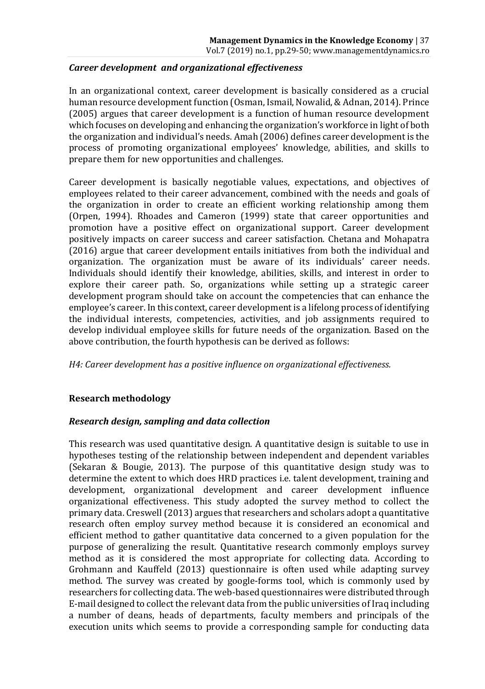# *Career development and organizational effectiveness*

In an organizational context, career development is basically considered as a crucial human resource development function (Osman, Ismail, Nowalid, & Adnan, 2014). Prince (2005) argues that career development is a function of human resource development which focuses on developing and enhancing the organization's workforce in light of both the organization and individual's needs. Amah (2006) defines career development is the process of promoting organizational employees' knowledge, abilities, and skills to prepare them for new opportunities and challenges.

Career development is basically negotiable values, expectations, and objectives of employees related to their career advancement, combined with the needs and goals of the organization in order to create an efficient working relationship among them (Orpen, 1994). Rhoades and Cameron (1999) state that career opportunities and promotion have a positive effect on organizational support. Career development positively impacts on career success and career satisfaction. Chetana and Mohapatra (2016) argue that career development entails initiatives from both the individual and organization. The organization must be aware of its individuals' career needs. Individuals should identify their knowledge, abilities, skills, and interest in order to explore their career path. So, organizations while setting up a strategic career development program should take on account the competencies that can enhance the employee's career. In this context, career development is a lifelong process of identifying the individual interests, competencies, activities, and job assignments required to develop individual employee skills for future needs of the organization. Based on the above contribution, the fourth hypothesis can be derived as follows:

*H4: Career development has a positive influence on organizational effectiveness.*

# **Research methodology**

# *Research design, sampling and data collection*

This research was used quantitative design. A quantitative design is suitable to use in hypotheses testing of the relationship between independent and dependent variables (Sekaran & Bougie, 2013). The purpose of this quantitative design study was to determine the extent to which does HRD practices i.e. talent development, training and development, organizational development and career development influence organizational effectiveness. This study adopted the survey method to collect the primary data. Creswell (2013) argues that researchers and scholars adopt a quantitative research often employ survey method because it is considered an economical and efficient method to gather quantitative data concerned to a given population for the purpose of generalizing the result. Quantitative research commonly employs survey method as it is considered the most appropriate for collecting data. According to Grohmann and Kauffeld (2013) questionnaire is often used while adapting survey method. The survey was created by google-forms tool, which is commonly used by researchers for collecting data. The web-based questionnaires were distributed through E-mail designed to collect the relevant data from the public universities of Iraq including a number of deans, heads of departments, faculty members and principals of the execution units which seems to provide a corresponding sample for conducting data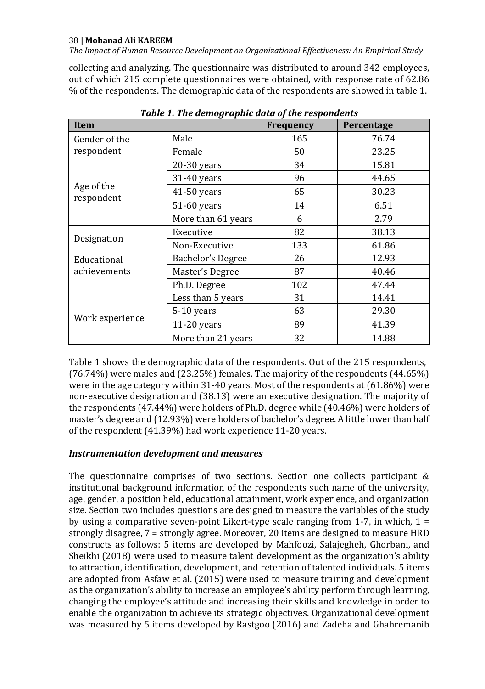*The Impact of Human Resource Development on Organizational Effectiveness: An Empirical Study*

collecting and analyzing. The questionnaire was distributed to around 342 employees, out of which 215 complete questionnaires were obtained, with response rate of 62.86 % of the respondents. The demographic data of the respondents are showed in table 1.

| <b>Item</b>              |                    | Frequency | Percentage |
|--------------------------|--------------------|-----------|------------|
| Gender of the            | Male               | 165       | 76.74      |
| respondent               | Female             | 50        | 23.25      |
|                          | 20-30 years        | 34        | 15.81      |
|                          | 31-40 years        | 96        | 44.65      |
| Age of the<br>respondent | 41-50 years        | 65        | 30.23      |
|                          | 51-60 years        | 14        | 6.51       |
|                          | More than 61 years | 6         | 2.79       |
|                          | Executive          | 82        | 38.13      |
| Designation              | Non-Executive      | 133       | 61.86      |
| Educational              | Bachelor's Degree  | 26        | 12.93      |
| achievements             | Master's Degree    | 87        | 40.46      |
|                          | Ph.D. Degree       | 102       | 47.44      |
|                          | Less than 5 years  | 31        | 14.41      |
|                          | 5-10 years         | 63        | 29.30      |
| Work experience          | $11-20$ years      | 89        | 41.39      |
|                          | More than 21 years | 32        | 14.88      |

*Table 1. The demographic data of the respondents*

Table 1 shows the demographic data of the respondents. Out of the 215 respondents, (76.74%) were males and (23.25%) females. The majority of the respondents (44.65%) were in the age category within 31-40 years. Most of the respondents at (61.86%) were non-executive designation and (38.13) were an executive designation. The majority of the respondents (47.44%) were holders of Ph.D. degree while (40.46%) were holders of master's degree and (12.93%) were holders of bachelor's degree. A little lower than half of the respondent (41.39%) had work experience 11-20 years.

# *Instrumentation development and measures*

The questionnaire comprises of two sections. Section one collects participant & institutional background information of the respondents such name of the university, age, gender, a position held, educational attainment, work experience, and organization size. Section two includes questions are designed to measure the variables of the study by using a comparative seven-point Likert-type scale ranging from 1-7, in which,  $1 =$ strongly disagree, 7 = strongly agree. Moreover, 20 items are designed to measure HRD constructs as follows: 5 items are developed by Mahfoozi, Salajegheh, Ghorbani, and Sheikhi (2018) were used to measure talent development as the organization's ability to attraction, identification, development, and retention of talented individuals. 5 items are adopted from Asfaw et al. (2015) were used to measure training and development as the organization's ability to increase an employee's ability perform through learning, changing the employee's attitude and increasing their skills and knowledge in order to enable the organization to achieve its strategic objectives. Organizational development was measured by 5 items developed by Rastgoo (2016) and Zadeha and Ghahremanib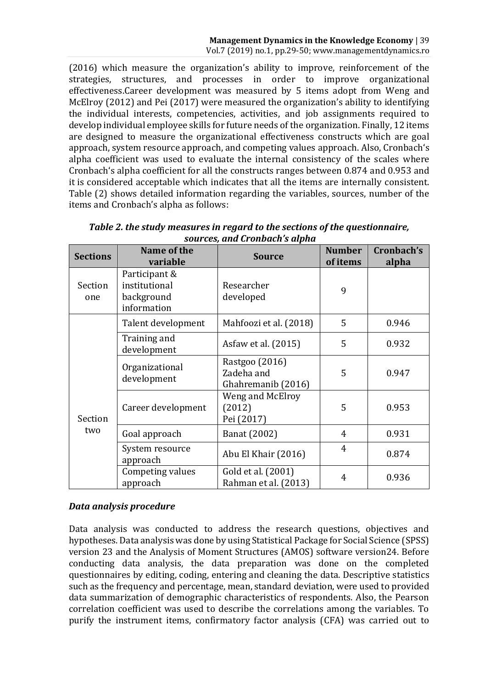(2016) which measure the organization's ability to improve, reinforcement of the strategies, structures, and processes in order to improve organizational effectiveness.Career development was measured by 5 items adopt from Weng and McElroy (2012) and Pei (2017) were measured the organization's ability to identifying the individual interests, competencies, activities, and job assignments required to develop individual employee skills for future needs of the organization. Finally, 12 items are designed to measure the organizational effectiveness constructs which are goal approach, system resource approach, and competing values approach. Also, Cronbach's alpha coefficient was used to evaluate the internal consistency of the scales where Cronbach's alpha coefficient for all the constructs ranges between 0.874 and 0.953 and it is considered acceptable which indicates that all the items are internally consistent. Table (2) shows detailed information regarding the variables, sources, number of the items and Cronbach's alpha as follows:

| <b>Sections</b> | Name of the<br>variable                                     | <b>Source</b>                                      | <b>Number</b><br>of items | Cronbach's<br>alpha |
|-----------------|-------------------------------------------------------------|----------------------------------------------------|---------------------------|---------------------|
| Section<br>one  | Participant &<br>institutional<br>background<br>information | Researcher<br>developed                            | 9                         |                     |
|                 | Talent development                                          | Mahfoozi et al. (2018)                             | 5                         | 0.946               |
|                 | Training and<br>development                                 | Asfaw et al. (2015)                                | 5                         | 0.932               |
| Section<br>two  | Organizational<br>development                               | Rastgoo (2016)<br>Zadeha and<br>Ghahremanib (2016) | 5                         | 0.947               |
|                 | Career development                                          | Weng and McElroy<br>(2012)<br>Pei (2017)           | 5                         | 0.953               |
|                 | Goal approach                                               | Banat (2002)                                       | 4                         | 0.931               |
|                 | System resource<br>approach                                 | Abu El Khair (2016)                                | 4                         | 0.874               |
|                 | Competing values<br>approach                                | Gold et al. (2001)<br>Rahman et al. (2013)         | 4                         | 0.936               |

*Table 2. the study measures in regard to the sections of the questionnaire, sources, and Cronbach's alpha*

# *Data analysis procedure*

Data analysis was conducted to address the research questions, objectives and hypotheses. Data analysis was done by using Statistical Package for Social Science (SPSS) version 23 and the Analysis of Moment Structures (AMOS) software version24. Before conducting data analysis, the data preparation was done on the completed questionnaires by editing, coding, entering and cleaning the data. Descriptive statistics such as the frequency and percentage, mean, standard deviation, were used to provided data summarization of demographic characteristics of respondents. Also, the Pearson correlation coefficient was used to describe the correlations among the variables. To purify the instrument items, confirmatory factor analysis (CFA) was carried out to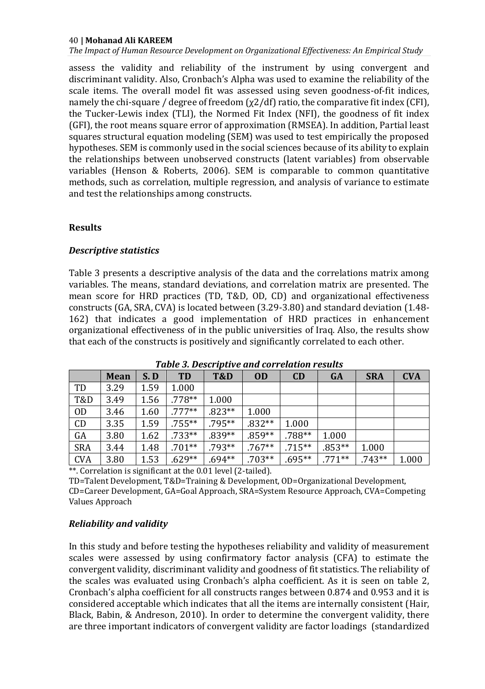*The Impact of Human Resource Development on Organizational Effectiveness: An Empirical Study*

assess the validity and reliability of the instrument by using convergent and discriminant validity. Also, Cronbach's Alpha was used to examine the reliability of the scale items. The overall model fit was assessed using seven goodness-of-fit indices, namely the chi-square / degree of freedom  $(\chi^2/df)$  ratio, the comparative fit index (CFI), the Tucker-Lewis index (TLI), the Normed Fit Index (NFI), the goodness of fit index (GFI), the root means square error of approximation (RMSEA). In addition, Partial least squares structural equation modeling (SEM) was used to test empirically the proposed hypotheses. SEM is commonly used in the social sciences because of its ability to explain the relationships between unobserved constructs (latent variables) from observable variables (Henson & Roberts, 2006). SEM is comparable to common quantitative methods, such as correlation, multiple regression, and analysis of variance to estimate and test the relationships among constructs.

# **Results**

# *Descriptive statistics*

Table 3 presents a descriptive analysis of the data and the correlations matrix among variables. The means, standard deviations, and correlation matrix are presented. The mean score for HRD practices (TD, T&D, OD, CD) and organizational effectiveness constructs (GA, SRA, CVA) is located between (3.29-3.80) and standard deviation (1.48- 162) that indicates a good implementation of HRD practices in enhancement organizational effectiveness of in the public universities of Iraq. Also, the results show that each of the constructs is positively and significantly correlated to each other.

|                | <b>Mean</b> | S.D  | <b>TD</b> | T&D      | <b>OD</b> | CD        | <b>GA</b> | <b>SRA</b> | <b>CVA</b> |
|----------------|-------------|------|-----------|----------|-----------|-----------|-----------|------------|------------|
| TD             | 3.29        | 1.59 | 1.000     |          |           |           |           |            |            |
| <b>T&amp;D</b> | 3.49        | 1.56 | $.778**$  | 1.000    |           |           |           |            |            |
| 0 <sub>D</sub> | 3.46        | 1.60 | $.777**$  | $.823**$ | 1.000     |           |           |            |            |
| CD             | 3.35        | 1.59 | $.755***$ | .795**   | $.832**$  | 1.000     |           |            |            |
| GA             | 3.80        | 1.62 | $.733**$  | $.839**$ | $.859**$  | $.788**$  | 1.000     |            |            |
| <b>SRA</b>     | 3.44        | 1.48 | $.701**$  | $.793**$ | $.767**$  | $.715***$ | $.853**$  | 1.000      |            |
| <b>CVA</b>     | 3.80        | 1.53 | $.629**$  | $.694**$ | $.703**$  | $.695**$  | $.771**$  | $.743**$   | 1.000      |

*Table 3. Descriptive and correlation results*

\*\*. Correlation is significant at the 0.01 level (2-tailed).

TD=Talent Development, T&D=Training & Development, OD=Organizational Development, CD=Career Development, GA=Goal Approach, SRA=System Resource Approach, CVA=Competing Values Approach

# *Reliability and validity*

In this study and before testing the hypotheses reliability and validity of measurement scales were assessed by using confirmatory factor analysis (CFA) to estimate the convergent validity, discriminant validity and goodness of fit statistics. The reliability of the scales was evaluated using Cronbach's alpha coefficient. As it is seen on table 2, Cronbach's alpha coefficient for all constructs ranges between 0.874 and 0.953 and it is considered acceptable which indicates that all the items are internally consistent (Hair, Black, Babin, & Andreson, 2010). In order to determine the convergent validity, there are three important indicators of convergent validity are factor loadings (standardized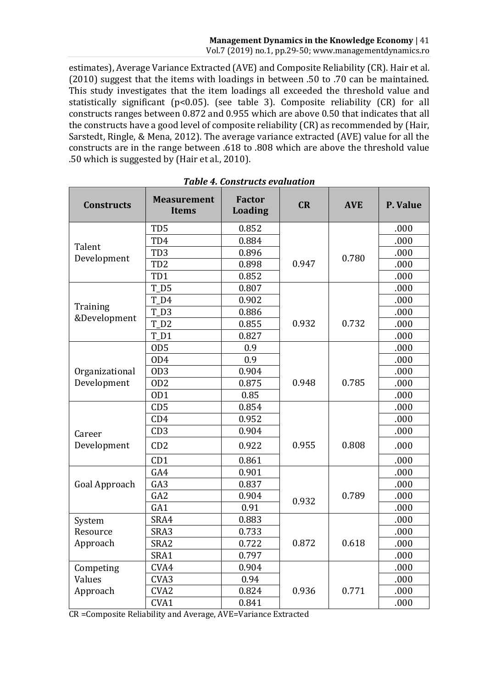estimates), Average Variance Extracted (AVE) and Composite Reliability (CR). Hair et al. (2010) suggest that the items with loadings in between .50 to .70 can be maintained. This study investigates that the item loadings all exceeded the threshold value and statistically significant ( $p$ <0.05). (see table 3). Composite reliability (CR) for all constructs ranges between 0.872 and 0.955 which are above 0.50 that indicates that all the constructs have a good level of composite reliability (CR) as recommended by (Hair, Sarstedt, Ringle, & Mena, 2012). The average variance extracted (AVE) value for all the constructs are in the range between .618 to .808 which are above the threshold value .50 which is suggested by (Hair et al., 2010).

| <b>Constructs</b> | <b>Measurement</b><br><b>Items</b> | <b>Factor</b><br><b>Loading</b> | CR    | <b>AVE</b> | P. Value |
|-------------------|------------------------------------|---------------------------------|-------|------------|----------|
|                   | T <sub>D</sub> <sub>5</sub>        | 0.852                           |       |            | .000     |
| Talent            | TD4                                | 0.884                           |       |            | .000     |
| Development       | TD <sub>3</sub>                    | 0.896                           |       | 0.780      | .000     |
|                   | TD <sub>2</sub>                    | 0.898                           | 0.947 |            | .000     |
|                   | TD1                                | 0.852                           |       |            | .000     |
|                   | $T_D5$                             | 0.807                           |       |            | .000     |
| Training          | $T_D4$                             | 0.902                           |       |            | .000     |
| &Development      | TD3                                | 0.886                           |       |            | .000     |
|                   | TD <sub>2</sub>                    | 0.855                           | 0.932 | 0.732      | .000     |
|                   | $T_D1$                             | 0.827                           |       |            | .000     |
|                   | OD <sub>5</sub>                    | 0.9                             |       |            | .000     |
|                   | OD4                                | 0.9                             |       |            | .000     |
| Organizational    | OD <sub>3</sub>                    | 0.904                           |       |            | .000     |
| Development       | OD <sub>2</sub>                    | 0.875                           | 0.948 | 0.785      | .000     |
|                   | OD <sub>1</sub>                    | 0.85                            |       |            | .000     |
|                   | CD <sub>5</sub>                    | 0.854                           |       |            | .000     |
|                   | CD4                                | 0.952                           |       |            | .000     |
| Career            | CD <sub>3</sub>                    | 0.904                           |       |            | .000     |
| Development       | CD2                                | 0.922                           | 0.955 | 0.808      | .000     |
|                   | CD1                                | 0.861                           |       |            | .000     |
|                   | GA4                                | 0.901                           |       |            | .000     |
| Goal Approach     | GA3                                | 0.837                           |       |            | .000     |
|                   | GA <sub>2</sub>                    | 0.904                           | 0.932 | 0.789      | .000     |
|                   | GA <sub>1</sub>                    | 0.91                            |       |            | .000     |
| System            | SRA4                               | 0.883                           |       |            | .000     |
| Resource          | SRA3                               | 0.733                           |       |            | .000     |
| Approach          | SRA2                               | 0.722                           | 0.872 | 0.618      | .000     |
|                   | SRA1                               | 0.797                           |       |            | .000     |
| Competing         | CVA4                               | 0.904                           |       |            | .000     |
| Values            | CVA <sub>3</sub>                   | 0.94                            |       |            | .000     |
| Approach          | CVA <sub>2</sub>                   | 0.824                           | 0.936 | 0.771      | .000     |
|                   | CVA1                               | 0.841                           |       |            | .000     |

*Table 4. Constructs evaluation*

CR =Composite Reliability and Average, AVE=Variance Extracted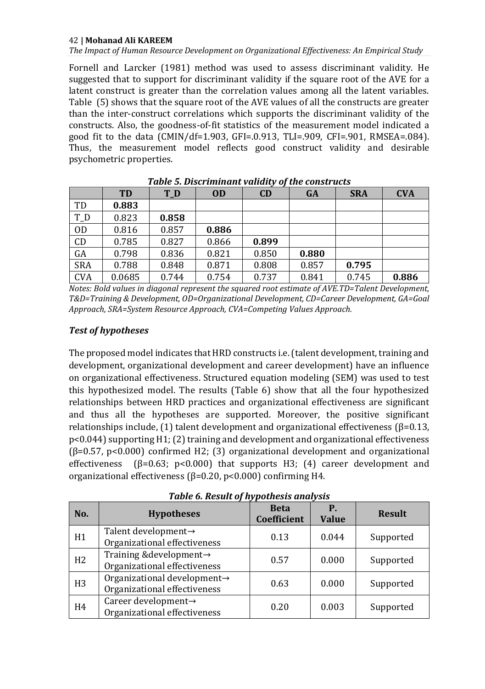*The Impact of Human Resource Development on Organizational Effectiveness: An Empirical Study*

Fornell and Larcker (1981) method was used to assess discriminant validity. He suggested that to support for discriminant validity if the square root of the AVE for a latent construct is greater than the correlation values among all the latent variables. Table (5) shows that the square root of the AVE values of all the constructs are greater than the inter-construct correlations which supports the discriminant validity of the constructs. Also, the goodness-of-fit statistics of the measurement model indicated a good fit to the data (CMIN/df=1.903, GFI=.0.913, TLI=.909, CFI=.901, RMSEA=.084). Thus, the measurement model reflects good construct validity and desirable psychometric properties.

|                | <b>TD</b> | T_D   | <b>OD</b> | CD    | <b>GA</b> | <b>SRA</b> | <b>CVA</b> |
|----------------|-----------|-------|-----------|-------|-----------|------------|------------|
| TD             | 0.883     |       |           |       |           |            |            |
| T_D            | 0.823     | 0.858 |           |       |           |            |            |
| 0 <sub>D</sub> | 0.816     | 0.857 | 0.886     |       |           |            |            |
| CD             | 0.785     | 0.827 | 0.866     | 0.899 |           |            |            |
| GA             | 0.798     | 0.836 | 0.821     | 0.850 | 0.880     |            |            |
| <b>SRA</b>     | 0.788     | 0.848 | 0.871     | 0.808 | 0.857     | 0.795      |            |
| <b>CVA</b>     | 0.0685    | 0.744 | 0.754     | 0.737 | 0.841     | 0.745      | 0.886      |

*Table 5. Discriminant validity of the constructs*

*Notes: Bold values in diagonal represent the squared root estimate of AVE.TD=Talent Development, T&D=Training & Development, OD=Organizational Development, CD=Career Development, GA=Goal Approach, SRA=System Resource Approach, CVA=Competing Values Approach.*

# *Test of hypotheses*

The proposed model indicates that HRD constructs i.e. (talent development, training and development, organizational development and career development) have an influence on organizational effectiveness. Structured equation modeling (SEM) was used to test this hypothesized model. The results (Table 6) show that all the four hypothesized relationships between HRD practices and organizational effectiveness are significant and thus all the hypotheses are supported. Moreover, the positive significant relationships include,  $(1)$  talent development and organizational effectiveness  $(β=0.13)$ , p<0.044) supporting H1; (2) training and development and organizational effectiveness  $(\beta=0.57, p<0.000)$  confirmed H2; (3) organizational development and organizational effectiveness ( $\beta$ =0.63; p<0.000) that supports H3; (4) career development and organizational effectiveness (β=0.20, p<0.000) confirming H4.

| No.            | <b>Hypotheses</b>                                           | <b>Beta</b><br>Coefficient | Р.<br><b>Value</b> | <b>Result</b> |
|----------------|-------------------------------------------------------------|----------------------------|--------------------|---------------|
| H1             | Talent development→<br>Organizational effectiveness         | 0.13                       | 0.044              | Supported     |
| H <sub>2</sub> | Training & development→<br>Organizational effectiveness     | 0.57                       | 0.000              | Supported     |
| H <sub>3</sub> | Organizational development→<br>Organizational effectiveness | 0.63                       | 0.000              | Supported     |
| H <sub>4</sub> | Career development→<br>Organizational effectiveness         | 0.20                       | 0.003              | Supported     |

*Table 6. Result of hypothesis analysis*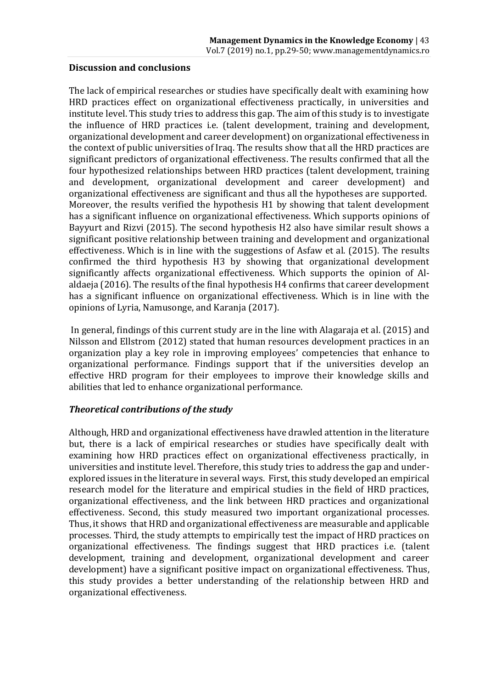# **Discussion and conclusions**

The lack of empirical researches or studies have specifically dealt with examining how HRD practices effect on organizational effectiveness practically, in universities and institute level. This study tries to address this gap. The aim of this study is to investigate the influence of HRD practices i.e. (talent development, training and development, organizational development and career development) on organizational effectiveness in the context of public universities of Iraq. The results show that all the HRD practices are significant predictors of organizational effectiveness. The results confirmed that all the four hypothesized relationships between HRD practices (talent development, training and development, organizational development and career development) and organizational effectiveness are significant and thus all the hypotheses are supported. Moreover, the results verified the hypothesis H1 by showing that talent development has a significant influence on organizational effectiveness. Which supports opinions of Bayyurt and Rizvi (2015). The second hypothesis H2 also have similar result shows a significant positive relationship between training and development and organizational effectiveness. Which is in line with the suggestions of Asfaw et al. (2015). The results confirmed the third hypothesis H3 by showing that organizational development significantly affects organizational effectiveness. Which supports the opinion of Alaldaeja (2016). The results of the final hypothesis H4 confirms that career development has a significant influence on organizational effectiveness. Which is in line with the opinions of Lyria, Namusonge, and Karanja (2017).

In general, findings of this current study are in the line with Alagaraja et al. (2015) and Nilsson and Ellstrom (2012) stated that human resources development practices in an organization play a key role in improving employees' competencies that enhance to organizational performance. Findings support that if the universities develop an effective HRD program for their employees to improve their knowledge skills and abilities that led to enhance organizational performance.

# *Theoretical contributions of the study*

Although, HRD and organizational effectiveness have drawled attention in the literature but, there is a lack of empirical researches or studies have specifically dealt with examining how HRD practices effect on organizational effectiveness practically, in universities and institute level. Therefore, this study tries to address the gap and underexplored issues in the literature in several ways. First, this study developed an empirical research model for the literature and empirical studies in the field of HRD practices, organizational effectiveness, and the link between HRD practices and organizational effectiveness. Second, this study measured two important organizational processes. Thus, it shows that HRD and organizational effectiveness are measurable and applicable processes. Third, the study attempts to empirically test the impact of HRD practices on organizational effectiveness. The findings suggest that HRD practices i.e. (talent development, training and development, organizational development and career development) have a significant positive impact on organizational effectiveness. Thus, this study provides a better understanding of the relationship between HRD and organizational effectiveness.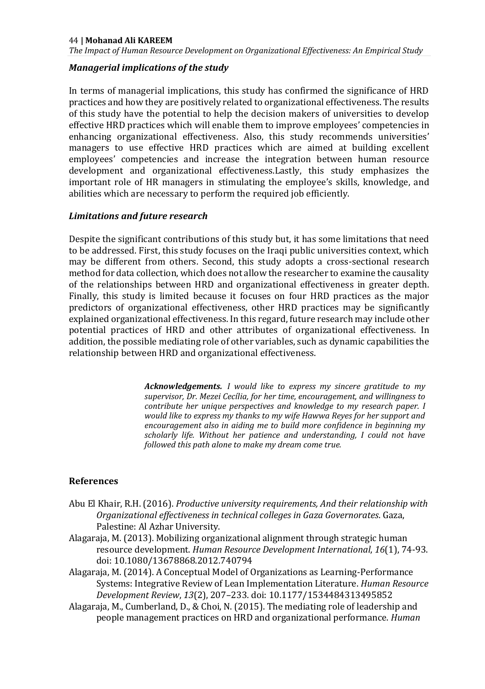*The Impact of Human Resource Development on Organizational Effectiveness: An Empirical Study*

# *Managerial implications of the study*

In terms of managerial implications, this study has confirmed the significance of HRD practices and how they are positively related to organizational effectiveness. The results of this study have the potential to help the decision makers of universities to develop effective HRD practices which will enable them to improve employees' competencies in enhancing organizational effectiveness. Also, this study recommends universities' managers to use effective HRD practices which are aimed at building excellent employees' competencies and increase the integration between human resource development and organizational effectiveness.Lastly, this study emphasizes the important role of HR managers in stimulating the employee's skills, knowledge, and abilities which are necessary to perform the required job efficiently.

# *Limitations and future research*

Despite the significant contributions of this study but, it has some limitations that need to be addressed. First, this study focuses on the Iraqi public universities context, which may be different from others. Second, this study adopts a cross-sectional research method for data collection, which does not allow the researcher to examine the causality of the relationships between HRD and organizational effectiveness in greater depth. Finally, this study is limited because it focuses on four HRD practices as the major predictors of organizational effectiveness, other HRD practices may be significantly explained organizational effectiveness. In this regard, future research may include other potential practices of HRD and other attributes of organizational effectiveness. In addition, the possible mediating role of other variables, such as dynamic capabilities the relationship between HRD and organizational effectiveness.

> *Acknowledgements. I would like to express my sincere gratitude to my supervisor, Dr. Mezei Cecília, for her time, encouragement, and willingness to contribute her unique perspectives and knowledge to my research paper. I would like to express my thanks to my wife Hawwa Reyes for her support and encouragement also in aiding me to build more confidence in beginning my scholarly life. Without her patience and understanding, I could not have followed this path alone to make my dream come true.*

#### **References**

- Abu El Khair, R.H. (2016). *Productive university requirements, And their relationship with Organizational effectiveness in technical colleges in Gaza Governorates*. Gaza, Palestine: Al Azhar University.
- Alagaraja, M. (2013). Mobilizing organizational alignment through strategic human resource development. *Human Resource Development International*, *16*(1), 74-93. doi: 10.1080/13678868.2012.740794
- Alagaraja, M. (2014). A Conceptual Model of Organizations as Learning-Performance Systems: Integrative Review of Lean Implementation Literature. *Human Resource Development Review*, *13*(2), 207–233. doi: 10.1177/1534484313495852
- Alagaraja, M., Cumberland, D., & Choi, N. (2015). The mediating role of leadership and people management practices on HRD and organizational performance. *Human*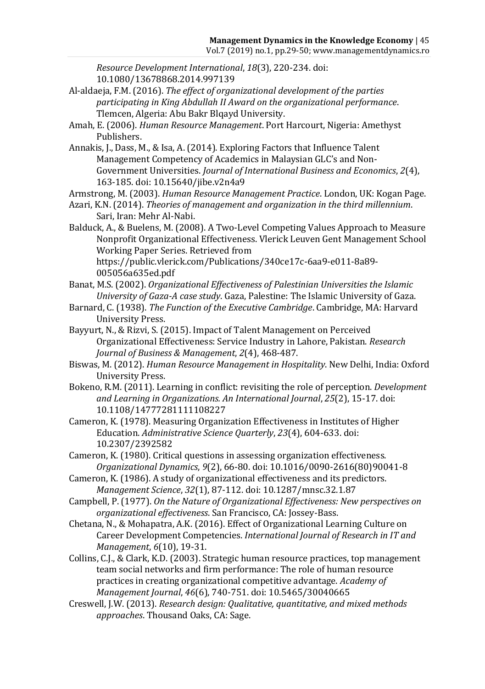*Resource Development International*, *18*(3), 220-234. doi: 10.1080/13678868.2014.997139

- Al-aldaeja, F.M. (2016). *The effect of organizational development of the parties participating in King Abdullah II Award on the organizational performance*. Tlemcen, Algeria: Abu Bakr Blqayd University.
- Amah, E. (2006). *Human Resource Management*. Port Harcourt, Nigeria: Amethyst Publishers.
- Annakis, J., Dass, M., & Isa, A. (2014). Exploring Factors that Influence Talent Management Competency of Academics in Malaysian GLC's and Non-Government Universities. *Journal of International Business and Economics*, *2*(4), 163-185. doi: 10.15640/jibe.v2n4a9

Armstrong, M. (2003). *Human Resource Management Practice*. London, UK: Kogan Page.

- Azari, K.N. (2014). *Theories of management and organization in the third millennium*. Sari, Iran: Mehr Al-Nabi.
- Balduck, A., & Buelens, M. (2008). A Two-Level Competing Values Approach to Measure Nonprofit Organizational Effectiveness. Vlerick Leuven Gent Management School Working Paper Series. Retrieved from https://public.vlerick.com/Publications/340ce17c-6aa9-e011-8a89- 005056a635ed.pdf
- Banat, M.S. (2002). *Organizational Effectiveness of Palestinian Universities the Islamic University of Gaza-A case study*. Gaza, Palestine: The Islamic University of Gaza.
- Barnard, C. (1938). *The Function of the Executive Cambridge*. Cambridge, MA: Harvard University Press.
- Bayyurt, N., & Rizvi, S. (2015). Impact of Talent Management on Perceived Organizational Effectiveness: Service Industry in Lahore, Pakistan. *Research Journal of Business & Management*, *2*(4), 468-487.
- Biswas, M. (2012). *Human Resource Management in Hospitality*. New Delhi, India: Oxford University Press.
- Bokeno, R.M. (2011). Learning in conflict: revisiting the role of perception. *Development and Learning in Organizations. An International Journal*, *25*(2), 15-17. doi: 10.1108/14777281111108227
- Cameron, K. (1978). Measuring Organization Effectiveness in Institutes of Higher Education. *Administrative Science Quarterly*, *23*(4), 604-633. doi: 10.2307/2392582
- Cameron, K. (1980). Critical questions in assessing organization effectiveness. *Organizational Dynamics*, *9*(2), 66-80. doi: 10.1016/0090-2616(80)90041-8
- Cameron, K. (1986). A study of organizational effectiveness and its predictors. *Management Science*, *32*(1), 87-112. doi: 10.1287/mnsc.32.1.87
- Campbell, P. (1977). *On the Nature of Organizational Effectiveness: New perspectives on organizational effectiveness*. San Francisco, CA: Jossey-Bass.
- Chetana, N., & Mohapatra, A.K. (2016). Effect of Organizational Learning Culture on Career Development Competencies. *International Journal of Research in IT and Management*, *6*(10), 19-31.
- Collins, C.J., & Clark, K.D. (2003). Strategic human resource practices, top management team social networks and firm performance: The role of human resource practices in creating organizational competitive advantage. *Academy of Management Journal*, *46*(6), 740-751. doi: 10.5465/30040665
- Creswell, J.W. (2013). *Research design: Qualitative, quantitative, and mixed methods approaches*. Thousand Oaks, CA: Sage.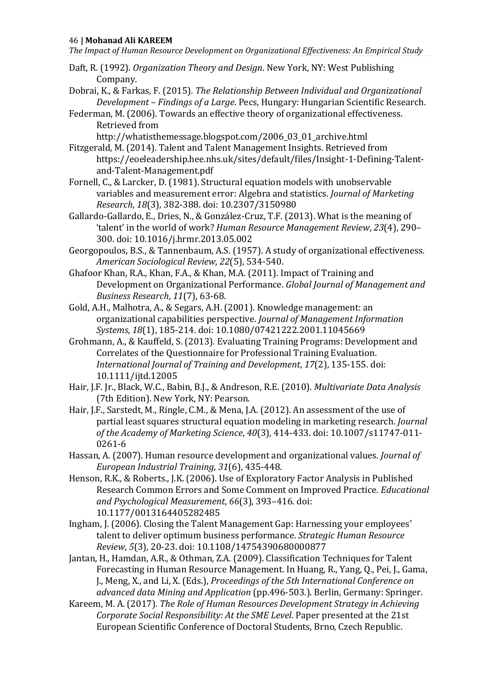*The Impact of Human Resource Development on Organizational Effectiveness: An Empirical Study*

- Daft, R. (1992). *Organization Theory and Design*. New York, NY: West Publishing Company.
- Dobrai, K., & Farkas, F. (2015). *The Relationship Between Individual and Organizational Development – Findings of a Large*. Pecs, Hungary: Hungarian Scientific Research.
- Federman, M. (2006). Towards an effective theory of organizational effectiveness. Retrieved from
	- http://whatisthemessage.blogspot.com/2006\_03\_01\_archive.html
- Fitzgerald, M. (2014). Talent and Talent Management Insights. Retrieved from https://eoeleadership.hee.nhs.uk/sites/default/files/Insight-1-Defining-Talentand-Talent-Management.pdf
- Fornell, C., & Larcker, D. (1981). Structural equation models with unobservable variables and measurement error: Algebra and statistics. *Journal of Marketing Research*, *18*(3), 382-388. doi: 10.2307/3150980
- Gallardo-Gallardo, E., Dries, N., & González-Cruz, T.F. (2013). What is the meaning of 'talent' in the world of work? *Human Resource Management Review*, *23*(4), 290– 300. doi: 10.1016/j.hrmr.2013.05.002
- Georgopoulos, B.S., & Tannenbaum, A.S. (1957). A study of organizational effectiveness. *American Sociological Review*, *22*(5), 534-540.
- Ghafoor Khan, R.A., Khan, F.A., & Khan, M.A. (2011). Impact of Training and Development on Organizational Performance. *Global Journal of Management and Business Research*, *11*(7), 63-68.
- Gold, A.H., Malhotra, A., & Segars, A.H. (2001). Knowledge management: an organizational capabilities perspective. *Journal of Management Information Systems*, *18*(1), 185-214. doi: 10.1080/07421222.2001.11045669
- Grohmann, A., & Kauffeld, S. (2013). Evaluating Training Programs: Development and Correlates of the Questionnaire for Professional Training Evaluation. *International Journal of Training and Development*, *17*(2), 135-155. doi: 10.1111/ijtd.12005
- Hair, J.F. Jr., Black, W.C., Babin, B.J., & Andreson, R.E. (2010). *Multivariate Data Analysis* (7th Edition). New York, NY: Pearson.
- Hair, J.F., Sarstedt, M., Ringle, C.M., & Mena, J.A. (2012). An assessment of the use of partial least squares structural equation modeling in marketing research. *Journal of the Academy of Marketing Science*, *40*(3), 414-433. doi: 10.1007/s11747-011- 0261-6
- Hassan, A. (2007). Human resource development and organizational values. *Journal of European Industrial Training*, *31*(6), 435-448.
- Henson, R.K., & Roberts., J.K. (2006). Use of Exploratory Factor Analysis in Published Research Common Errors and Some Comment on Improved Practice. *Educational and Psychological Measurement*, *66*(3), 393–416. doi: 10.1177/0013164405282485
- Ingham, J. (2006). Closing the Talent Management Gap: Harnessing your employees' talent to deliver optimum business performance. *Strategic Human Resource Review*, *5*(3), 20-23. doi: 10.1108/14754390680000877
- Jantan, H., Hamdan, A.R., & Othman, Z.A. (2009). Classification Techniques for Talent Forecasting in Human Resource Management. In Huang, R., Yang, Q., Pei, J., Gama, J., Meng, X., and Li, X. (Eds.), *Proceedings of the 5th International Conference on advanced data Mining and Application* (pp.496-503.). Berlin, Germany: Springer.
- Kareem, M. A. (2017). *The Role of Human Resources Development Strategy in Achieving Corporate Social Responsibility: At the SME Level*. Paper presented at the 21st European Scientific Conference of Doctoral Students, Brno, Czech Republic.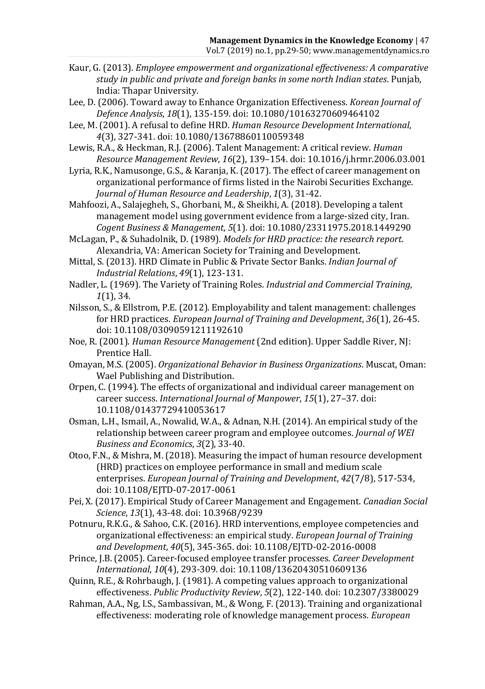- Kaur, G. (2013). *Employee empowerment and organizational effectiveness: A comparative study in public and private and foreign banks in some north Indian states*. Punjab, India: Thapar University.
- Lee, D. (2006). Toward away to Enhance Organization Effectiveness. *Korean Journal of Defence Analysis*, *18*(1), 135-159. doi: 10.1080/10163270609464102
- Lee, M. (2001). A refusal to define HRD. *Human Resource Development International*, *4*(3), 327-341. doi: 10.1080/13678860110059348
- Lewis, R.A., & Heckman, R.J. (2006). Talent Management: A critical review. *Human Resource Management Review*, *16*(2), 139–154. doi: 10.1016/j.hrmr.2006.03.001
- Lyria, R.K., Namusonge, G.S., & Karanja, K. (2017). The effect of career management on organizational performance of firms listed in the Nairobi Securities Exchange. *Journal of Human Resource and Leadership*, *1*(3), 31-42.
- Mahfoozi, A., Salajegheh, S., Ghorbani, M., & Sheikhi, A. (2018). Developing a talent management model using government evidence from a large-sized city, Iran. *Cogent Business & Management*, *5*(1). doi: 10.1080/23311975.2018.1449290
- McLagan, P., & Suhadolnik, D. (1989). *Models for HRD practice: the research report*. Alexandria, VA: American Society for Training and Development.
- Mittal, S. (2013). HRD Climate in Public & Private Sector Banks. *Indian Journal of Industrial Relations*, *49*(1), 123-131.
- Nadler, L. (1969). The Variety of Training Roles. *Industrial and Commercial Training*, *1*(1), 34.
- Nilsson, S., & Ellstrom, P.E. (2012). Employability and talent management: challenges for HRD practices. *European Journal of Training and Development*, *36*(1), 26-45. doi: 10.1108/03090591211192610
- Noe, R. (2001). *Human Resource Management* (2nd edition). Upper Saddle River, NJ: Prentice Hall.
- Omayan, M.S. (2005). *Organizational Behavior in Business Organizations*. Muscat, Oman: Wael Publishing and Distribution.
- Orpen, C. (1994). The effects of organizational and individual career management on career success. *International Journal of Manpower*, *15*(1), 27–37. doi: 10.1108/01437729410053617
- Osman, L.H., Ismail, A., Nowalid, W.A., & Adnan, N.H. (2014). An empirical study of the relationship between career program and employee outcomes. *Journal of WEI Business and Economics*, *3*(2), 33-40.
- Otoo, F.N., & Mishra, M. (2018). Measuring the impact of human resource development (HRD) practices on employee performance in small and medium scale enterprises. *European Journal of Training and Development*, *42*(7/8), 517-534, doi: 10.1108/EJTD-07-2017-0061
- Pei, X. (2017). Empirical Study of Career Management and Engagement. *Canadian Social Science*, *13*(1), 43-48. doi: 10.3968/9239
- Potnuru, R.K.G., & Sahoo, C.K. (2016). HRD interventions, employee competencies and organizational effectiveness: an empirical study. *European Journal of Training and Development*, *40*(5), 345-365. doi: 10.1108/EJTD-02-2016-0008
- Prince, J.B. (2005). Career-focused employee transfer processes*. Career Development International*, *10*(4), 293-309. doi: 10.1108/13620430510609136
- Quinn, R.E., & Rohrbaugh, J. (1981). A competing values approach to organizational effectiveness. *Public Productivity Review*, *5*(2), 122-140. doi: 10.2307/3380029
- Rahman, A.A., Ng, I.S., Sambassivan, M., & Wong, F. (2013). Training and organizational effectiveness: moderating role of knowledge management process. *European*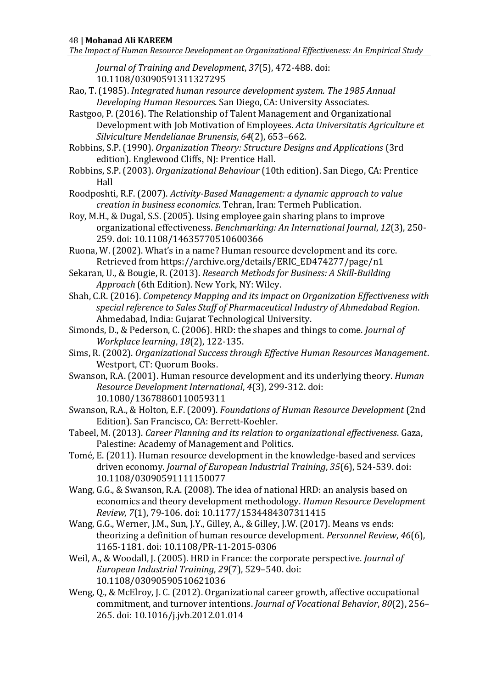*The Impact of Human Resource Development on Organizational Effectiveness: An Empirical Study*

*Journal of Training and Development*, *37*(5), 472-488. doi: 10.1108/03090591311327295

- Rao, T. (1985). *Integrated human resource development system. The 1985 Annual Developing Human Resource*s. San Diego, CA: University Associates.
- Rastgoo, P. (2016). The Relationship of Talent Management and Organizational Development with Job Motivation of Employees. *Acta Universitatis Agriculture et Silviculture Mendelianae Brunensis*, *64*(2), 653–662.
- Robbins, S.P. (1990). *Organization Theory: Structure Designs and Applications* (3rd edition). Englewood Cliffs, NJ: Prentice Hall.
- Robbins, S.P. (2003). *Organizational Behaviour* (10th edition). San Diego, CA: Prentice Hall
- Roodposhti, R.F. (2007). *Activity-Based Management: a dynamic approach to value creation in business economics*. Tehran, Iran: Termeh Publication.
- Roy, M.H., & Dugal, S.S. (2005). Using employee gain sharing plans to improve organizational effectiveness. *Benchmarking: An International Journal*, *12*(3), 250- 259. doi: 10.1108/14635770510600366
- Ruona, W. (2002). What's in a name? Human resource development and its core. Retrieved from https://archive.org/details/ERIC\_ED474277/page/n1
- Sekaran, U., & Bougie, R. (2013). *Research Methods for Business: A Skill-Building Approach* (6th Edition). New York, NY: Wiley.
- Shah, C.R. (2016). *Competency Mapping and its impact on Organization Effectiveness with special reference to Sales Staff of Pharmaceutical Industry of Ahmedabad Region*. Ahmedabad, India: Gujarat Technological University.
- Simonds, D., & Pederson, C. (2006). HRD: the shapes and things to come. *Journal of Workplace learning*, *18*(2), 122-135.
- Sims, R. (2002). *Organizational Success through Effective Human Resources Management*. Westport, CT: Quorum Books.
- Swanson, R.A. (2001). Human resource development and its underlying theory. *Human Resource Development International*, *4*(3), 299-312. doi: 10.1080/13678860110059311
- Swanson, R.A., & Holton, E.F. (2009). *Foundations of Human Resource Development* (2nd Edition). San Francisco, CA: Berrett-Koehler.
- Tabeel, M. (2013). *Career Planning and its relation to organizational effectiveness*. Gaza, Palestine: Academy of Management and Politics.
- Tomé, E. (2011). Human resource development in the knowledge-based and services driven economy. *Journal of European Industrial Training*, *35*(6), 524-539. doi: 10.1108/03090591111150077
- Wang, G.G., & Swanson, R.A. (2008). The idea of national HRD: an analysis based on economics and theory development methodology. *Human Resource Development Review, 7*(1), 79-106. doi: 10.1177/1534484307311415
- Wang, G.G., Werner, J.M., Sun, J.Y., Gilley, A., & Gilley, J.W. (2017). Means vs ends: theorizing a definition of human resource development. *Personnel Review*, *46*(6), 1165-1181. doi: 10.1108/PR-11-2015-0306
- Weil, A., & Woodall, J. (2005). HRD in France: the corporate perspective. *Journal of European Industrial Training*, *29*(7), 529–540. doi: 10.1108/03090590510621036
- Weng, Q., & McElroy, J. C. (2012). Organizational career growth, affective occupational commitment, and turnover intentions. *Journal of Vocational Behavior*, *80*(2), 256– 265. doi: 10.1016/j.jvb.2012.01.014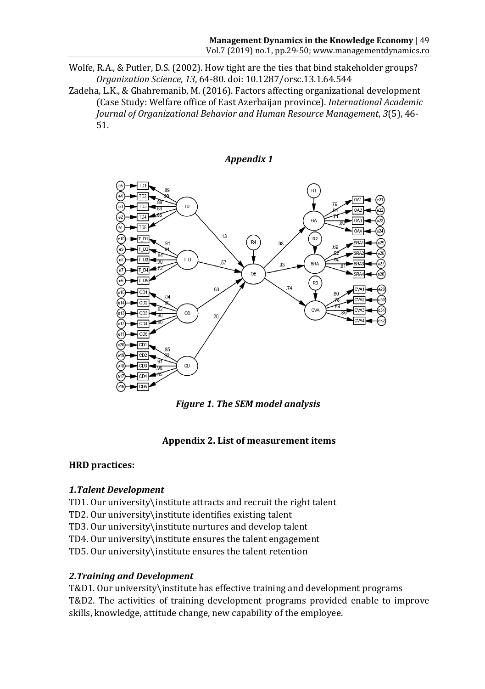- Wolfe, R.A., & Putler, D.S. (2002). How tight are the ties that bind stakeholder groups? *Organization Science*, *13*, 64-80. doi: 10.1287/orsc.13.1.64.544
- Zadeha, L.K., & Ghahremanib, M. (2016). Factors affecting organizational development (Case Study: Welfare office of East Azerbaijan province). *International Academic Journal of Organizational Behavior and Human Resource Management*, *3*(5), 46- 51.



*Figure 1. The SEM model analysis* 

# **Appendix 2. List of measurement items**

# **HRD practices:**

# *1.Talent Development*

- TD1. Our university\institute attracts and recruit the right talent
- TD2. Our university\institute identifies existing talent
- TD3. Our university\institute nurtures and develop talent
- TD4. Our university\institute ensures the talent engagement
- TD5. Our university\institute ensures the talent retention

# *2.Training and Development*

T&D1. Our university\institute has effective training and development programs T&D2. The activities of training development programs provided enable to improve skills, knowledge, attitude change, new capability of the employee.